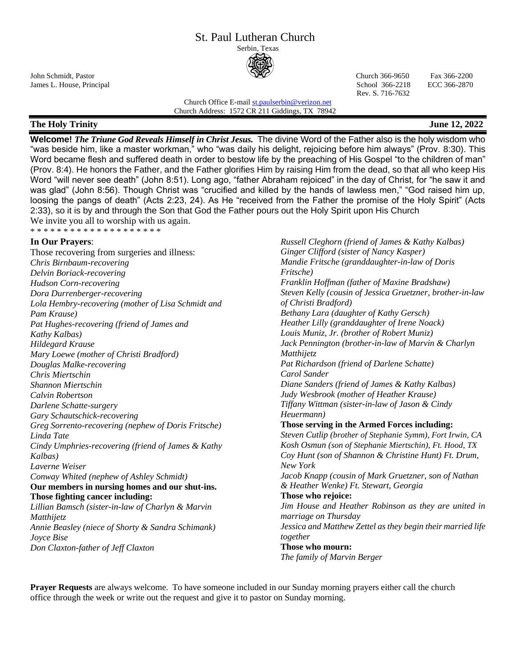#### St. Paul Lutheran Church Serbin, Texas



John Schmidt, Pastor Church 366-9650 Fax 366-2200 James L. House, Principal School 366-2218 ECC 366-2870

Rev. S. 716-7632

Church Office E-mai[l st.paulserbin@verizon.net](mailto:st.paulserbin@verizon.net) Church Address: 1572 CR 211 Giddings, TX 78942

# **The Holy Trinity June 12, 2022**

**Welcome!** *The Triune God Reveals Himself in Christ Jesus.* The divine Word of the Father also is the holy wisdom who "was beside him, like a master workman," who "was daily his delight, rejoicing before him always" (Prov. 8:30). This Word became flesh and suffered death in order to bestow life by the preaching of His Gospel "to the children of man" (Prov. 8:4). He honors the Father, and the Father glorifies Him by raising Him from the dead, so that all who keep His Word "will never see death" (John 8:51). Long ago, "father Abraham rejoiced" in the day of Christ, for "he saw it and was glad" (John 8:56). Though Christ was "crucified and killed by the hands of lawless men," "God raised him up, loosing the pangs of death" (Acts 2:23, 24). As He "received from the Father the promise of the Holy Spirit" (Acts 2:33), so it is by and through the Son that God the Father pours out the Holy Spirit upon His Church We invite you all to worship with us again. \* \* \* \* \* \* \* \* \* \* \* \* \* \* \* \* \* \* \*

# **In Our Prayers**:

Those recovering from surgeries and illness: *Chris Birnbaum-recovering Delvin Boriack-recovering Hudson Corn-recovering Dora Durrenberger-recovering Lola Hembry-recovering (mother of Lisa Schmidt and Pam Krause) Pat Hughes-recovering (friend of James and Kathy Kalbas) Hildegard Krause Mary Loewe (mother of Christi Bradford) Douglas Malke-recovering Chris Miertschin Shannon Miertschin Calvin Robertson Darlene Schatte-surgery Gary Schautschick-recovering Greg Sorrento-recovering (nephew of Doris Fritsche) Linda Tate Cindy Umphries-recovering (friend of James & Kathy Kalbas) Laverne Weiser Conway Whited (nephew of Ashley Schmidt)* **Our members in nursing homes and our shut-ins. Those fighting cancer including:**  *Lillian Bamsch (sister-in-law of Charlyn & Marvin Matthijetz Annie Beasley (niece of Shorty & Sandra Schimank) Joyce Bise*

*Don Claxton-father of Jeff Claxton*

*Russell Cleghorn (friend of James & Kathy Kalbas) Ginger Clifford (sister of Nancy Kasper) Mandie Fritsche (granddaughter-in-law of Doris Fritsche) Franklin Hoffman (father of Maxine Bradshaw) Steven Kelly (cousin of Jessica Gruetzner, brother-in-law of Christi Bradford) Bethany Lara (daughter of Kathy Gersch) Heather Lilly (granddaughter of Irene Noack) Louis Muniz, Jr. (brother of Robert Muniz) Jack Pennington (brother-in-law of Marvin & Charlyn Matthijetz Pat Richardson (friend of Darlene Schatte) Carol Sander Diane Sanders (friend of James & Kathy Kalbas) Judy Wesbrook (mother of Heather Krause) Tiffany Wittman (sister-in-law of Jason & Cindy Heuermann)* **Those serving in the Armed Forces including:** *Steven Cutlip (brother of Stephanie Symm), Fort Irwin, CA Kosh Osmun (son of Stephanie Miertschin), Ft. Hood, TX Coy Hunt (son of Shannon & Christine Hunt) Ft. Drum, New York Jacob Knapp (cousin of Mark Gruetzner, son of Nathan & Heather Wenke) Ft. Stewart, Georgia* **Those who rejoice:** *Jim House and Heather Robinson as they are united in marriage on Thursday Jessica and Matthew Zettel as they begin their married life together* **Those who mourn:** *The family of Marvin Berger*

**Prayer Requests** are always welcome. To have someone included in our Sunday morning prayers either call the church office through the week or write out the request and give it to pastor on Sunday morning.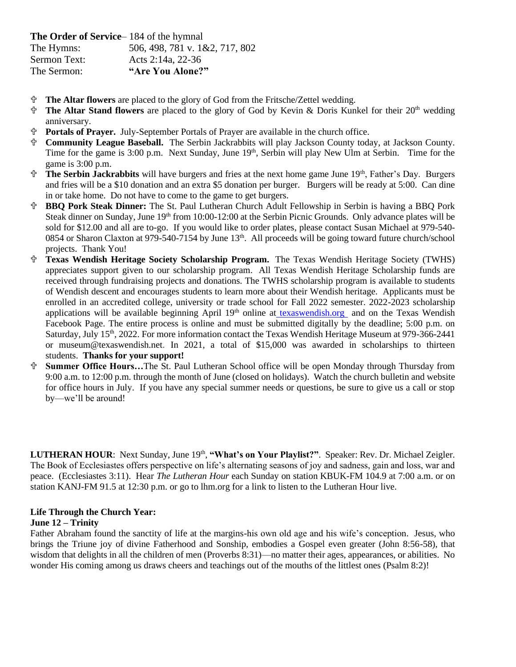**The Order of Service**– 184 of the hymnal

The Hymns: 506, 498, 781 v. 1&2, 717, 802 Sermon Text: Acts 2:14a, 22-36 The Sermon: **"Are You Alone?"**

- **The Altar flowers** are placed to the glory of God from the Fritsche/Zettel wedding.
- **The Altar Stand flowers** are placed to the glory of God by Kevin & Doris Kunkel for their 20<sup>th</sup> wedding anniversary.
- **Portals of Prayer.** July-September Portals of Prayer are available in the church office.
- **Community League Baseball.** The Serbin Jackrabbits will play Jackson County today, at Jackson County. Time for the game is 3:00 p.m. Next Sunday, June 19<sup>th</sup>, Serbin will play New Ulm at Serbin. Time for the game is 3:00 p.m.
- **The Serbin Jackrabbits** will have burgers and fries at the next home game June 19<sup>th</sup>, Father's Day. Burgers and fries will be a \$10 donation and an extra \$5 donation per burger. Burgers will be ready at 5:00. Can dine in or take home. Do not have to come to the game to get burgers.
- **BBQ Pork Steak Dinner:** The St. Paul Lutheran Church Adult Fellowship in Serbin is having a BBQ Pork Steak dinner on Sunday, June 19<sup>th</sup> from 10:00-12:00 at the Serbin Picnic Grounds. Only advance plates will be sold for \$12.00 and all are to-go. If you would like to order plates, please contact Susan Michael at 979-540- 0854 or Sharon Claxton at 979-540-7154 by June 13<sup>th</sup>. All proceeds will be going toward future church/school projects. Thank You!
- **Texas Wendish Heritage Society Scholarship Program.** The Texas Wendish Heritage Society (TWHS) appreciates support given to our scholarship program. All Texas Wendish Heritage Scholarship funds are received through fundraising projects and donations. The TWHS scholarship program is available to students of Wendish descent and encourages students to learn more about their Wendish heritage. Applicants must be enrolled in an accredited college, university or trade school for Fall 2022 semester. 2022-2023 scholarship applications will be available beginning April  $19<sup>th</sup>$  online at [texaswendish.org](http://www.texaswendish.org/) and on the Texas Wendish Facebook Page. The entire process is online and must be submitted digitally by the deadline; 5:00 p.m. on Saturday, July 15<sup>th</sup>, 2022. For more information contact the Texas Wendish Heritage Museum at 979-366-2441 or museum@texaswendish.net. In 2021, a total of \$15,000 was awarded in scholarships to thirteen students. **Thanks for your support!**
- **Summer Office Hours…**The St. Paul Lutheran School office will be open Monday through Thursday from 9:00 a.m. to 12:00 p.m. through the month of June (closed on holidays). Watch the church bulletin and website for office hours in July. If you have any special summer needs or questions, be sure to give us a call or stop by—we'll be around!

LUTHERAN HOUR: Next Sunday, June 19<sup>th</sup>, "What's on Your Playlist?". Speaker: Rev. Dr. Michael Zeigler. The Book of Ecclesiastes offers perspective on life's alternating seasons of joy and sadness, gain and loss, war and peace. (Ecclesiastes 3:11). Hear *The Lutheran Hour* each Sunday on station KBUK-FM 104.9 at 7:00 a.m. or on station KANJ-FM 91.5 at 12:30 p.m. or go to lhm.org for a link to listen to the Lutheran Hour live.

### **Life Through the Church Year: June 12 – Trinity**

Father Abraham found the sanctity of life at the margins-his own old age and his wife's conception. Jesus, who brings the Triune joy of divine Fatherhood and Sonship, embodies a Gospel even greater (John 8:56-58), that wisdom that delights in all the children of men (Proverbs 8:31)—no matter their ages, appearances, or abilities. No wonder His coming among us draws cheers and teachings out of the mouths of the littlest ones (Psalm 8:2)!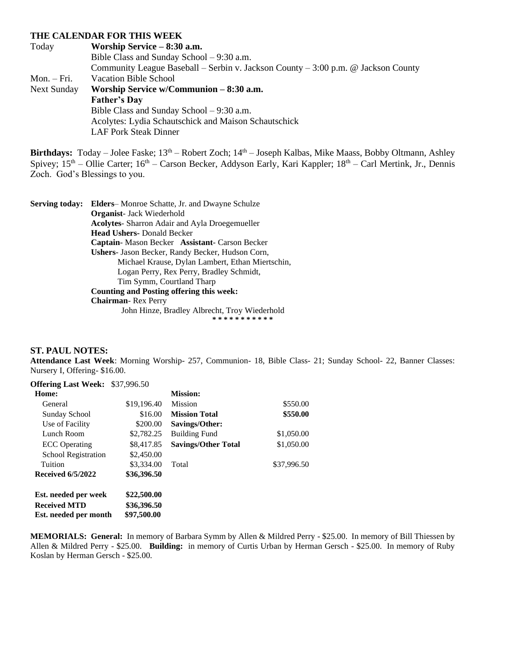#### **THE CALENDAR FOR THIS WEEK**

Today **Worship Service – 8:30 a.m.** Bible Class and Sunday School – 9:30 a.m. Community League Baseball – Serbin v. Jackson County – 3:00 p.m. @ Jackson County Mon. – Fri. Vacation Bible School Next Sunday **Worship Service w/Communion – 8:30 a.m. Father's Day** Bible Class and Sunday School – 9:30 a.m. Acolytes: Lydia Schautschick and Maison Schautschick LAF Pork Steak Dinner

Birthdays: Today – Jolee Faske; 13<sup>th</sup> – Robert Zoch; 14<sup>th</sup> – Joseph Kalbas, Mike Maass, Bobby Oltmann, Ashley Spivey;  $15<sup>th</sup>$  – Ollie Carter;  $16<sup>th</sup>$  – Carson Becker, Addyson Early, Kari Kappler;  $18<sup>th</sup>$  – Carl Mertink, Jr., Dennis Zoch. God's Blessings to you.

**Serving today: Elders**– Monroe Schatte, Jr. and Dwayne Schulze **Organist**- Jack Wiederhold **Acolytes**- Sharron Adair and Ayla Droegemueller **Head Ushers-** Donald Becker **Captain**- Mason Becker **Assistant**- Carson Becker **Ushers**- Jason Becker, Randy Becker, Hudson Corn, Michael Krause, Dylan Lambert, Ethan Miertschin, Logan Perry, Rex Perry, Bradley Schmidt, Tim Symm, Courtland Tharp **Counting and Posting offering this week: Chairman**- Rex Perry John Hinze, Bradley Albrecht, Troy Wiederhold **\* \* \* \* \* \* \* \* \* \* \***

#### **ST. PAUL NOTES:**

**Attendance Last Week**: Morning Worship- 257, Communion- 18, Bible Class- 21; Sunday School- 22, Banner Classes: Nursery I, Offering- \$16.00.

| <b>Offering Last Week:</b> | \$37,996.50 |                            |             |
|----------------------------|-------------|----------------------------|-------------|
| Home:                      |             | <b>Mission:</b>            |             |
| General                    | \$19,196.40 | Mission                    | \$550.00    |
| Sunday School              | \$16.00     | <b>Mission Total</b>       | \$550.00    |
| Use of Facility            | \$200.00    | Savings/Other:             |             |
| Lunch Room                 | \$2,782.25  | <b>Building Fund</b>       | \$1,050.00  |
| <b>ECC</b> Operating       | \$8,417.85  | <b>Savings/Other Total</b> | \$1,050.00  |
| <b>School Registration</b> | \$2,450.00  |                            |             |
| Tuition                    | \$3,334.00  | Total                      | \$37,996.50 |
| <b>Received 6/5/2022</b>   | \$36,396.50 |                            |             |
| Est. needed per week       | \$22,500.00 |                            |             |
| <b>Received MTD</b>        | \$36,396.50 |                            |             |
| Est. needed per month      | \$97,500.00 |                            |             |

**MEMORIALS: General:** In memory of Barbara Symm by Allen & Mildred Perry - \$25.00. In memory of Bill Thiessen by Allen & Mildred Perry - \$25.00. **Building:** in memory of Curtis Urban by Herman Gersch - \$25.00. In memory of Ruby Koslan by Herman Gersch - \$25.00.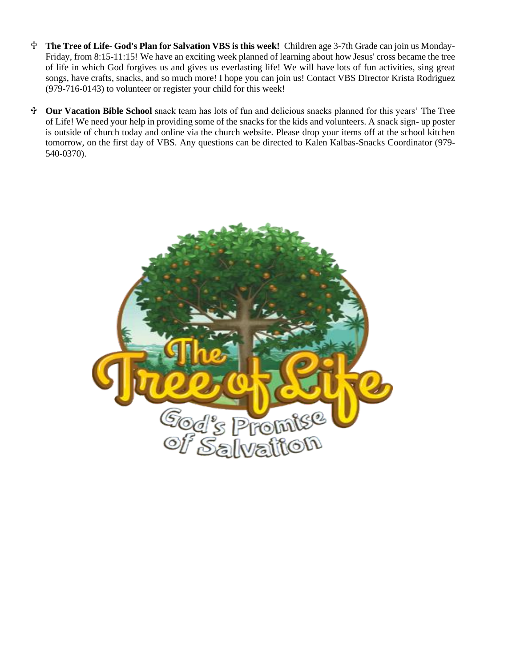- **The Tree of Life- God's Plan for Salvation VBS is this week!** Children age 3-7th Grade can join us Monday-Friday, from 8:15-11:15! We have an exciting week planned of learning about how Jesus' cross became the tree of life in which God forgives us and gives us everlasting life! We will have lots of fun activities, sing great songs, have crafts, snacks, and so much more! I hope you can join us! Contact VBS Director Krista Rodriguez (979-716-0143) to volunteer or register your child for this week!
- **Our Vacation Bible School** snack team has lots of fun and delicious snacks planned for this years' The Tree of Life! We need your help in providing some of the snacks for the kids and volunteers. A snack sign- up poster is outside of church today and online via the church website. Please drop your items off at the school kitchen tomorrow, on the first day of VBS. Any questions can be directed to Kalen Kalbas-Snacks Coordinator (979- 540-0370).